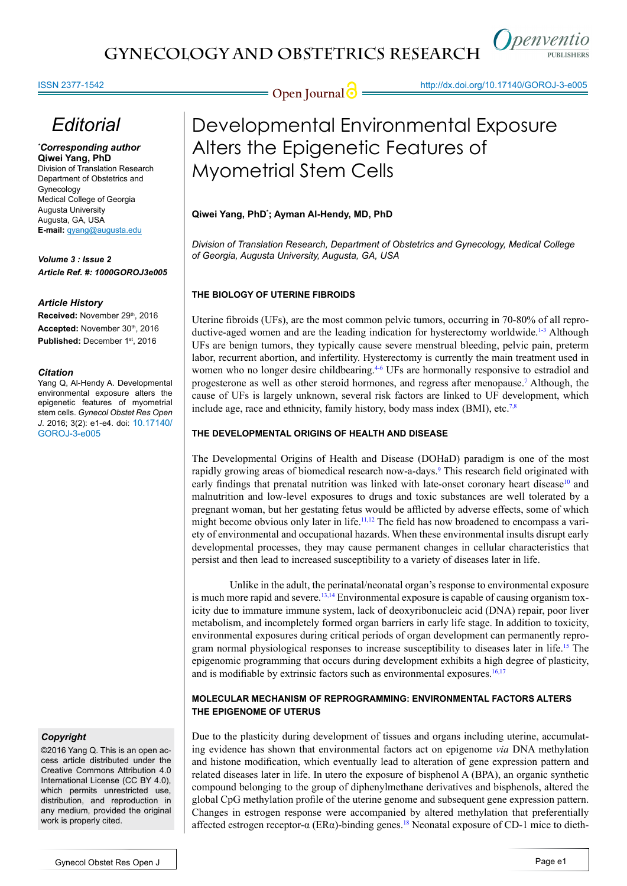



*Openventio* 

**PURLISHERS** 

# *Editorial*

*\* Corresponding author* **Qiwei Yang, PhD** Division of Translation Research Department of Obstetrics and Gynecology Medical College of Georgia Augusta University Augusta, GA, USA **E-mail:** qyang@augusta.edu

*Volume 3 : Issue 2 Article Ref. #: 1000GOROJ3e005* 

### *Article History*

Received: November 29th, 2016 Accepted: November 30th, 2016 Published: December 1<sup>st</sup>, 2016

#### *Citation*

Yang Q, Al-Hendy A. Developmental environmental exposure alters the epigenetic features of myometrial stem cells. *Gynecol Obstet Res Open J*. 2016; 3(2): e1-e4. doi: 10.17140/ GOROJ-3-e005

# *Copyright*

©2016 Yang Q. This is an open access article distributed under the Creative Commons Attribution 4.0 International License (CC BY 4.0), which permits unrestricted use, distribution, and reproduction in any medium, provided the original work is properly cited.

# Developmental Environmental Exposure Alters the Epigenetic Features of Myometrial Stem Cells

### **Qiwei Yang, PhD\* ; Ayman Al-Hendy, MD, PhD**

*Division of Translation Research, Department of Obstetrics and Gynecology, Medical College of Georgia, Augusta University, Augusta, GA, USA*

# **THE BIOLOGY OF UTERINE FIBROIDS**

Uterine fibroids (UFs), are the most common pelvic tumors, occurring in 70-80% of all reproductive-aged women and are the leading indication for hysterectomy worldwide.<sup>1-3</sup> Although UFs are benign tumors, they typically cause severe menstrual bleeding, pelvic pain, preterm labor, recurrent abortion, and infertility. Hysterectomy is currently the main treatment used in women who no longer desire childbearing.<sup>4-6</sup> UFs are hormonally responsive to estradiol and progesterone as well as other steroid hormones, and regress after menopause[.7](#page-2-2) Although, the cause of UFs is largely unknown, several risk factors are linked to UF development, which include age, race and ethnicity, family history, body mass index (BMI), etc.<sup>[7,8](#page-2-2)</sup>

# **THE DEVELOPMENTAL ORIGINS OF HEALTH AND DISEASE**

The Developmental Origins of Health and Disease (DOHaD) paradigm is one of the most rapidly growing areas of biomedical research now-a-days.<sup>[9](#page-2-3)</sup> This research field originated with early findings that prenatal nutrition was linked with late-onset coronary heart disease<sup>[10](#page-2-4)</sup> and malnutrition and low-level exposures to drugs and toxic substances are well tolerated by a pregnant woman, but her gestating fetus would be afflicted by adverse effects, some of which might become obvious only later in life.<sup>11,12</sup> The field has now broadened to encompass a variety of environmental and occupational hazards. When these environmental insults disrupt early developmental processes, they may cause permanent changes in cellular characteristics that persist and then lead to increased susceptibility to a variety of diseases later in life.

Unlike in the adult, the perinatal/neonatal organ's response to environmental exposure is much more rapid and severe.<sup>[13,14](#page-2-6)</sup> Environmental exposure is capable of causing organism toxicity due to immature immune system, lack of deoxyribonucleic acid (DNA) repair, poor liver metabolism, and incompletely formed organ barriers in early life stage. In addition to toxicity, environmental exposures during critical periods of organ development can permanently reprogram normal physiological responses to increase susceptibility to diseases later in life.[15](#page-2-7) The epigenomic programming that occurs during development exhibits a high degree of plasticity, and is modifiable by extrinsic factors such as environmental exposures. $16,17$ 

# **MOLECULAR MECHANISM OF REPROGRAMMING: ENVIRONMENTAL FACTORS ALTERS THE EPIGENOME OF UTERUS**

Due to the plasticity during development of tissues and organs including uterine, accumulating evidence has shown that environmental factors act on epigenome *via* DNA methylation and histone modification, which eventually lead to alteration of gene expression pattern and related diseases later in life. In utero the exposure of bisphenol A (BPA), an organic synthetic compound belonging to the group of diphenylmethane derivatives and bisphenols, altered the global CpG methylation profile of the uterine genome and subsequent gene expression pattern. Changes in estrogen response were accompanied by altered methylation that preferentially affected estrogen receptor-α (ERα)-binding genes.<sup>18</sup> Neonatal exposure of CD-1 mice to dieth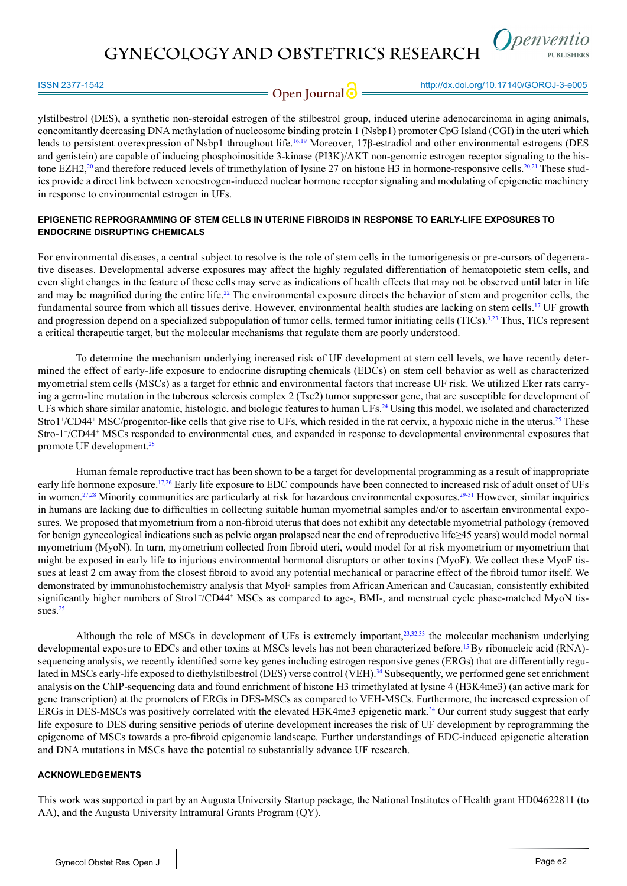**GYNECOLOGY AND OBSTETRICS RESEARCH**



**Open Journal & Altip://dx.doi.org/10.17140/GOROJ-3-e005**<br> **Open Journal & Altip://dx.doi.org/10.17140/GOROJ-3-e005** 

ylstilbestrol (DES), a synthetic non-steroidal estrogen of the stilbestrol group, induced uterine adenocarcinoma in aging animals, concomitantly decreasing DNA methylation of nucleosome binding protein 1 (Nsbp1) promoter CpG Island (CGI) in the uteri which leads to persistent overexpression of Nsbp1 throughout life.<sup>16,19</sup> Moreover, 17β-estradiol and other environmental estrogens (DES and genistein) are capable of inducing phosphoinositide 3-kinase (PI3K)/AKT non-genomic estrogen receptor signaling to the his-tone EZH2,<sup>[20](#page-3-1)</sup> and therefore reduced levels of trimethylation of lysine 27 on histone H3 in hormone-responsive cells.<sup>20,21</sup> These studies provide a direct link between xenoestrogen-induced nuclear hormone receptor signaling and modulating of epigenetic machinery in response to environmental estrogen in UFs.

## **EPIGENETIC REPROGRAMMING OF STEM CELLS IN UTERINE FIBROIDS IN RESPONSE TO EARLY-LIFE EXPOSURES TO ENDOCRINE DISRUPTING CHEMICALS**

For environmental diseases, a central subject to resolve is the role of stem cells in the tumorigenesis or pre-cursors of degenerative diseases. Developmental adverse exposures may affect the highly regulated differentiation of hematopoietic stem cells, and even slight changes in the feature of these cells may serve as indications of health effects that may not be observed until later in life and may be magnified during the entire life.<sup>[22](#page-3-2)</sup> The environmental exposure directs the behavior of stem and progenitor cells, the fundamental source from which all tissues derive. However, environmental health studies are lacking on stem cells.[17](#page-2-9) UF growth and progression depend on a specialized subpopulation of tumor cells, termed tumor initiating cells (TICs).<sup>3,[23](#page-3-3)</sup> Thus, TICs represent a critical therapeutic target, but the molecular mechanisms that regulate them are poorly understood.

To determine the mechanism underlying increased risk of UF development at stem cell levels, we have recently determined the effect of early-life exposure to endocrine disrupting chemicals (EDCs) on stem cell behavior as well as characterized myometrial stem cells (MSCs) as a target for ethnic and environmental factors that increase UF risk. We utilized Eker rats carrying a germ-line mutation in the tuberous sclerosis complex 2 (Tsc2) tumor suppressor gene, that are susceptible for development of UFs which share similar anatomic, histologic, and biologic features to human UFs.[24](#page-3-4) Using this model, we isolated and characterized Stro1<sup>+</sup>/CD44<sup>+</sup> MSC/progenitor-like cells that give rise to UFs, which resided in the rat cervix, a hypoxic niche in the uterus.<sup>25</sup> These Stro-1<sup>+</sup> /CD44<sup>+</sup> MSCs responded to environmental cues, and expanded in response to developmental environmental exposures that promote UF development.<sup>25</sup>

Human female reproductive tract has been shown to be a target for developmental programming as a result of inappropriate early life hormone exposure.<sup>17[,26](#page-3-6)</sup> Early life exposure to EDC compounds have been connected to increased risk of adult onset of UFs in women.<sup>27,28</sup> Minority communities are particularly at risk for hazardous environmental exposures.<sup>[29-31](#page-3-7)</sup> However, similar inquiries in humans are lacking due to difficulties in collecting suitable human myometrial samples and/or to ascertain environmental exposures. We proposed that myometrium from a non-fibroid uterus that does not exhibit any detectable myometrial pathology (removed for benign gynecological indications such as pelvic organ prolapsed near the end of reproductive life≥45 years) would model normal myometrium (MyoN). In turn, myometrium collected from fibroid uteri, would model for at risk myometrium or myometrium that might be exposed in early life to injurious environmental hormonal disruptors or other toxins (MyoF). We collect these MyoF tissues at least 2 cm away from the closest fibroid to avoid any potential mechanical or paracrine effect of the fibroid tumor itself. We demonstrated by immunohistochemistry analysis that MyoF samples from African American and Caucasian, consistently exhibited significantly higher numbers of Stro1+/CD44+ MSCs as compared to age-, BMI-, and menstrual cycle phase-matched MyoN tis-sues.<sup>[25](#page-3-5)</sup>

Although the role of MSCs in development of UFs is extremely important,<sup>23,32,33</sup> the molecular mechanism underlying developmental exposure to EDCs and other toxins at MSCs levels has not been characterized before.<sup>[15](#page-2-7)</sup>By ribonucleic acid (RNA)sequencing analysis, we recently identified some key genes including estrogen responsive genes (ERGs) that are differentially regulated in MSCs early-life exposed to diethylstilbestrol (DES) verse control (VEH).<sup>34</sup> Subsequently, we performed gene set enrichment analysis on the ChIP-sequencing data and found enrichment of histone H3 trimethylated at lysine 4 (H3K4me3) (an active mark for gene transcription) at the promoters of ERGs in DES-MSCs as compared to VEH-MSCs. Furthermore, the increased expression of ERGs in DES-MSCs was positively correlated with the elevated H3K4me3 epigenetic mark[.34](#page-3-9) Our current study suggest that early life exposure to DES during sensitive periods of uterine development increases the risk of UF development by reprogramming the epigenome of MSCs towards a pro-fibroid epigenomic landscape. Further understandings of EDC-induced epigenetic alteration and DNA mutations in MSCs have the potential to substantially advance UF research.

### **ACKNOWLEDGEMENTS**

This work was supported in part by an Augusta University Startup package, the National Institutes of Health grant HD04622811 (to AA), and the Augusta University Intramural Grants Program (QY).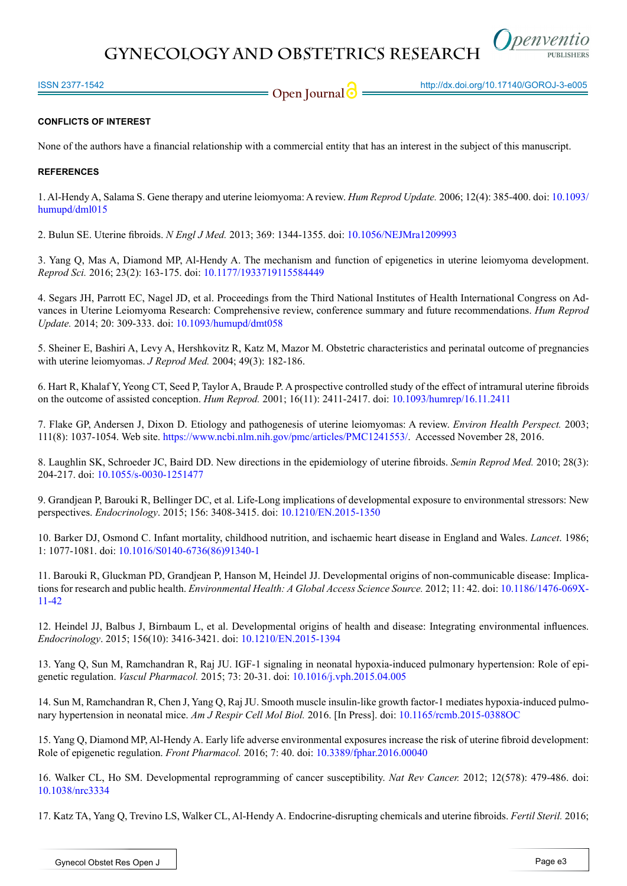

### **CONFLICTS OF INTEREST**

None of the authors have a financial relationship with a commercial entity that has an interest in the subject of this manuscript.

#### **REFERENCES**

<span id="page-2-0"></span>1. Al-Hendy A, Salama S. Gene therapy and uterine leiomyoma: A review. *Hum Reprod Update.* 2006; 12(4): 385-400. doi: [10.1093/](http://humupd.oxfordjournals.org/content/12/4/385.full) [humupd/dml015](http://humupd.oxfordjournals.org/content/12/4/385.full)

2. Bulun SE. Uterine fibroids. *N Engl J Med.* 2013; 369: 1344-1355. doi: [10.1056/NEJMra1209993](http://www.nejm.org/doi/full/10.1056/NEJMra1209993)

<span id="page-2-10"></span>3. Yang Q, Mas A, Diamond MP, Al-Hendy A. The mechanism and function of epigenetics in uterine leiomyoma development. *Reprod Sci.* 2016; 23(2): 163-175. doi: [10.1177/1933719115584449](https://www.ncbi.nlm.nih.gov/pubmed/25922306)

<span id="page-2-1"></span>4. Segars JH, Parrott EC, Nagel JD, et al. Proceedings from the Third National Institutes of Health International Congress on Advances in Uterine Leiomyoma Research: Comprehensive review, conference summary and future recommendations. *Hum Reprod Update.* 2014; 20: 309-333. doi: [10.1093/humupd/dmt058](https://www.ncbi.nlm.nih.gov/pubmed/24401287)

5. Sheiner E, Bashiri A, Levy A, Hershkovitz R, Katz M, Mazor M. Obstetric characteristics and perinatal outcome of pregnancies with uterine leiomyomas. *J Reprod Med.* 2004; 49(3): 182-186.

6. Hart R, Khalaf Y, Yeong CT, Seed P, Taylor A, Braude P. A prospective controlled study of the effect of intramural uterine fibroids on the outcome of assisted conception. *Hum Reprod.* 2001; 16(11): 2411-2417. doi: [10.1093/humrep/16.11.2411](http://humrep.oxfordjournals.org/content/16/11/2411.long)

<span id="page-2-2"></span>7. Flake GP, Andersen J, Dixon D. Etiology and pathogenesis of uterine leiomyomas: A review. *Environ Health Perspect.* 2003; 111(8): 1037-1054. Web site. <https://www.ncbi.nlm.nih.gov/pmc/articles/PMC1241553/>. Accessed November 28, 2016.

8. Laughlin SK, Schroeder JC, Baird DD. New directions in the epidemiology of uterine fibroids. *Semin Reprod Med.* 2010; 28(3): 204-217. doi: [10.1055/s-0030-1251477](https://www.ncbi.nlm.nih.gov/pubmed/20414843)

<span id="page-2-3"></span>9. Grandjean P, Barouki R, Bellinger DC, et al. Life-Long implications of developmental exposure to environmental stressors: New perspectives. *Endocrinology*. 2015; 156: 3408-3415. doi: [10.1210/EN.2015-1350](https://www.ncbi.nlm.nih.gov/pubmed/26241067%20)

<span id="page-2-4"></span>10. Barker DJ, Osmond C. Infant mortality, childhood nutrition, and ischaemic heart disease in England and Wales. *Lancet*. 1986; 1: 1077-1081. doi: [10.1016/S0140-6736\(86\)91340-1](http://www.thelancet.com/journals/lancet/article/PIIS0140-6736%2886%2991340-1/abstract)

<span id="page-2-5"></span>11. Barouki R, Gluckman PD, Grandjean P, Hanson M, Heindel JJ. Developmental origins of non-communicable disease: Implications for research and public health. *Environmental Health: A Global Access Science Source.* 2012; 11: 42. doi: [10.1186/1476-069X-](https://ehjournal.biomedcentral.com/articles/10.1186/1476-069X-11-42)[11-42](https://ehjournal.biomedcentral.com/articles/10.1186/1476-069X-11-42)

12. Heindel JJ, Balbus J, Birnbaum L, et al. Developmental origins of health and disease: Integrating environmental influences. *Endocrinology*. 2015; 156(10): 3416-3421. doi: [10.1210/EN.2015-1394](https://www.ncbi.nlm.nih.gov/pubmed/26241070)

<span id="page-2-6"></span>13. Yang Q, Sun M, Ramchandran R, Raj JU. IGF-1 signaling in neonatal hypoxia-induced pulmonary hypertension: Role of epigenetic regulation. *Vascul Pharmacol.* 2015; 73: 20-31. doi: [10.1016/j.vph.2015.04.005](https://www.ncbi.nlm.nih.gov/pubmed/25921925)

14. Sun M, Ramchandran R, Chen J, Yang Q, Raj JU. Smooth muscle insulin-like growth factor-1 mediates hypoxia-induced pulmonary hypertension in neonatal mice. *Am J Respir Cell Mol Biol.* 2016. [In Press]. doi: [10.1165/rcmb.2015-0388OC](http://www.atsjournals.org/doi/pdf/10.1165/rcmb.2015-0388OC)

<span id="page-2-7"></span>15. Yang Q, Diamond MP, Al-Hendy A. Early life adverse environmental exposures increase the risk of uterine fibroid development: Role of epigenetic regulation. *Front Pharmacol.* 2016; 7: 40. doi: [10.3389/fphar.2016.00040](https://www.ncbi.nlm.nih.gov/pmc/articles/PMC4772696/)

<span id="page-2-8"></span>16. Walker CL, Ho SM. Developmental reprogramming of cancer susceptibility. *Nat Rev Cancer.* 2012; 12(578): 479-486. doi: [10.1038/nrc3334](http://www.nature.com/nrc/journal/v12/n8/full/nrc3334.html)

<span id="page-2-9"></span>17. Katz TA, Yang Q, Trevino LS, Walker CL, Al-Hendy A. Endocrine-disrupting chemicals and uterine fibroids. *Fertil Steril.* 2016;